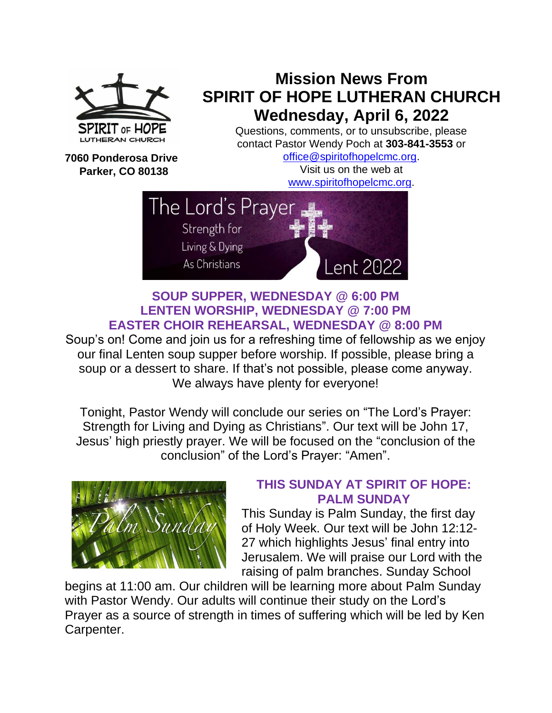

# **Mission News From SPIRIT OF HOPE LUTHERAN CHURCH Wednesday, April 6, 2022**

Questions, comments, or to unsubscribe, please contact Pastor Wendy Poch at **303-841-3553** or

**7060 Ponderosa Drive Parker, CO 80138**

[office@spiritofhopelcmc.org.](mailto:office@spiritofhopelcmc.org) Visit us on the web at [www.spiritofhopelcmc.org.](http://www.spiritofhopelcmc.org/)



### **SOUP SUPPER, WEDNESDAY @ 6:00 PM LENTEN WORSHIP, WEDNESDAY @ 7:00 PM EASTER CHOIR REHEARSAL, WEDNESDAY @ 8:00 PM**

Soup's on! Come and join us for a refreshing time of fellowship as we enjoy our final Lenten soup supper before worship. If possible, please bring a soup or a dessert to share. If that's not possible, please come anyway. We always have plenty for everyone!

Tonight, Pastor Wendy will conclude our series on "The Lord's Prayer: Strength for Living and Dying as Christians". Our text will be John 17, Jesus' high priestly prayer. We will be focused on the "conclusion of the conclusion" of the Lord's Prayer: "Amen".



## **THIS SUNDAY AT SPIRIT OF HOPE: PALM SUNDAY**

This Sunday is Palm Sunday, the first day of Holy Week. Our text will be John 12:12- 27 which highlights Jesus' final entry into Jerusalem. We will praise our Lord with the raising of palm branches. Sunday School

begins at 11:00 am. Our children will be learning more about Palm Sunday with Pastor Wendy. Our adults will continue their study on the Lord's Prayer as a source of strength in times of suffering which will be led by Ken Carpenter.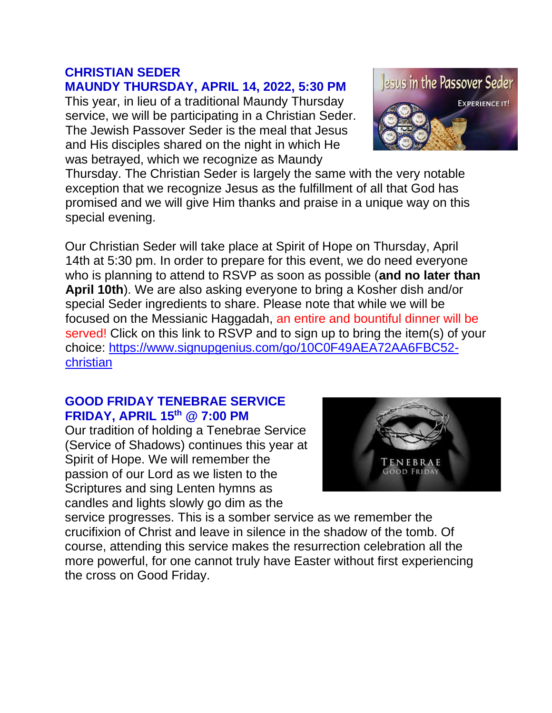#### **CHRISTIAN SEDER MAUNDY THURSDAY, APRIL 14, 2022, 5:30 PM**

This year, in lieu of a traditional Maundy Thursday service, we will be participating in a Christian Seder. The Jewish Passover Seder is the meal that Jesus and His disciples shared on the night in which He was betrayed, which we recognize as Maundy

**esus in the Passover Seder** EXPERIENCE IT!

Thursday. The Christian Seder is largely the same with the very notable exception that we recognize Jesus as the fulfillment of all that God has promised and we will give Him thanks and praise in a unique way on this special evening.

Our Christian Seder will take place at Spirit of Hope on Thursday, April 14th at 5:30 pm. In order to prepare for this event, we do need everyone who is planning to attend to RSVP as soon as possible (**and no later than April 10th**). We are also asking everyone to bring a Kosher dish and/or special Seder ingredients to share. Please note that while we will be focused on the Messianic Haggadah, an entire and bountiful dinner will be served! Click on this link to RSVP and to sign up to bring the item(s) of your choice: [https://www.signupgenius.com/go/10C0F49AEA72AA6FBC52](https://www.signupgenius.com/go/10C0F49AEA72AA6FBC52-christian) [christian](https://www.signupgenius.com/go/10C0F49AEA72AA6FBC52-christian)

# **GOOD FRIDAY TENEBRAE SERVICE FRIDAY, APRIL 15th @ 7:00 PM**

Our tradition of holding a Tenebrae Service (Service of Shadows) continues this year at Spirit of Hope. We will remember the passion of our Lord as we listen to the Scriptures and sing Lenten hymns as candles and lights slowly go dim as the



service progresses. This is a somber service as we remember the crucifixion of Christ and leave in silence in the shadow of the tomb. Of course, attending this service makes the resurrection celebration all the more powerful, for one cannot truly have Easter without first experiencing the cross on Good Friday.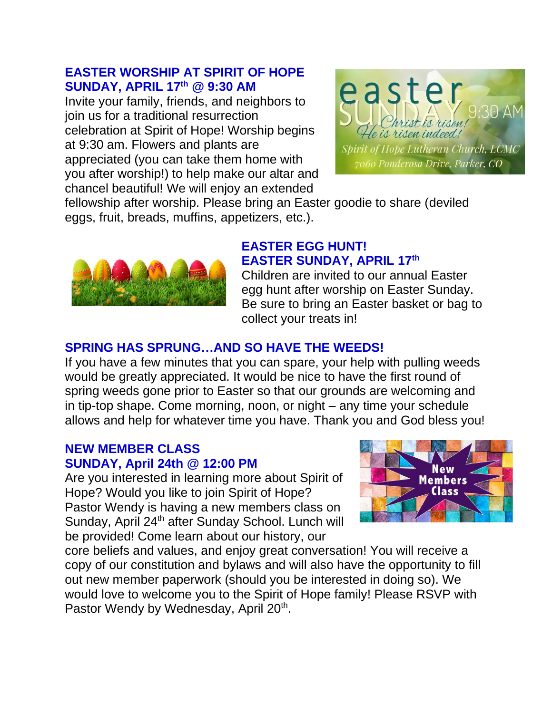# **EASTER WORSHIP AT SPIRIT OF HOPE SUNDAY, APRIL 17 th @ 9:30 AM**

Invite your family, friends, and neighbors to join us for a traditional resurrection celebration at Spirit of Hope! Worship begins at 9:30 am. Flowers and plants are appreciated (you can take them home with you after worship!) to help make our altar and chancel beautiful! We will enjoy an extended



fellowship after worship. Please bring an Easter goodie to share (deviled eggs, fruit, breads, muffins, appetizers, etc.).



# **EASTER EGG HUNT! EASTER SUNDAY, APRIL 17th**

Children are invited to our annual Easter egg hunt after worship on Easter Sunday. Be sure to bring an Easter basket or bag to collect your treats in!

# **SPRING HAS SPRUNG…AND SO HAVE THE WEEDS!**

If you have a few minutes that you can spare, your help with pulling weeds would be greatly appreciated. It would be nice to have the first round of spring weeds gone prior to Easter so that our grounds are welcoming and in tip-top shape. Come morning, noon, or night – any time your schedule allows and help for whatever time you have. Thank you and God bless you!

#### **NEW MEMBER CLASS SUNDAY, April 24th @ 12:00 PM**

Are you interested in learning more about Spirit of Hope? Would you like to join Spirit of Hope? Pastor Wendy is having a new members class on Sunday, April 24<sup>th</sup> after Sunday School. Lunch will be provided! Come learn about our history, our



core beliefs and values, and enjoy great conversation! You will receive a copy of our constitution and bylaws and will also have the opportunity to fill out new member paperwork (should you be interested in doing so). We would love to welcome you to the Spirit of Hope family! Please RSVP with Pastor Wendy by Wednesday, April 20<sup>th</sup>.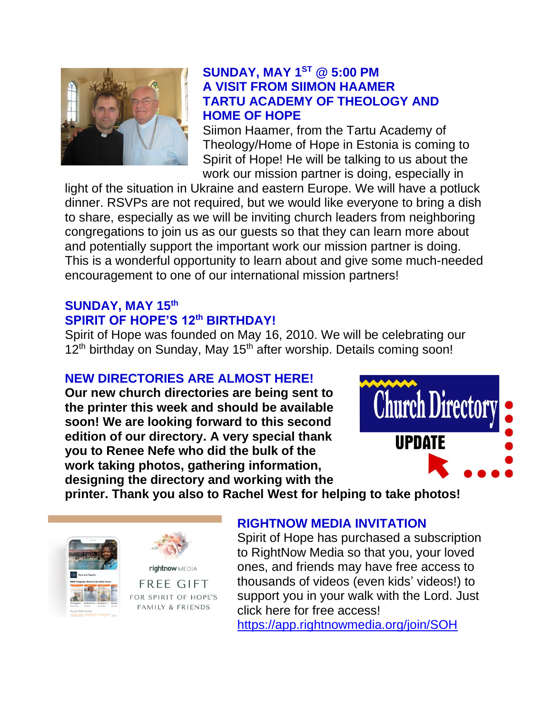![](_page_3_Picture_0.jpeg)

### **SUNDAY, MAY 1ST @ 5:00 PM A VISIT FROM SIIMON HAAMER TARTU ACADEMY OF THEOLOGY AND HOME OF HOPE**

Siimon Haamer, from the Tartu Academy of Theology/Home of Hope in Estonia is coming to Spirit of Hope! He will be talking to us about the work our mission partner is doing, especially in

light of the situation in Ukraine and eastern Europe. We will have a potluck dinner. RSVPs are not required, but we would like everyone to bring a dish to share, especially as we will be inviting church leaders from neighboring congregations to join us as our guests so that they can learn more about and potentially support the important work our mission partner is doing. This is a wonderful opportunity to learn about and give some much-needed encouragement to one of our international mission partners!

# **SUNDAY, MAY 15th SPIRIT OF HOPE'S 12th BIRTHDAY!**

Spirit of Hope was founded on May 16, 2010. We will be celebrating our  $12<sup>th</sup>$  birthday on Sunday, May  $15<sup>th</sup>$  after worship. Details coming soon!

#### **NEW DIRECTORIES ARE ALMOST HERE!**

**Our new church directories are being sent to the printer this week and should be available soon! We are looking forward to this second edition of our directory. A very special thank you to Renee Nefe who did the bulk of the work taking photos, gathering information, designing the directory and working with the** 

![](_page_3_Picture_8.jpeg)

**printer. Thank you also to Rachel West for helping to take photos!**

![](_page_3_Picture_10.jpeg)

![](_page_3_Picture_11.jpeg)

rightnow MEDIA FREE GIFT OR SPIRIT OF HOPE'S **FAMILY & FRIENDS** 

#### **RIGHTNOW MEDIA INVITATION**

Spirit of Hope has purchased a subscription to RightNow Media so that you, your loved ones, and friends may have free access to thousands of videos (even kids' videos!) to support you in your walk with the Lord. Just click here for free access!

<https://app.rightnowmedia.org/join/SOH>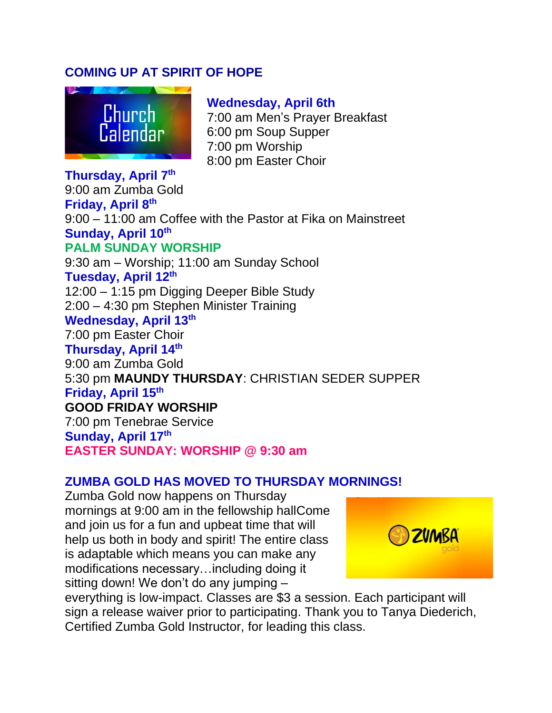## **COMING UP AT SPIRIT OF HOPE**

![](_page_4_Picture_1.jpeg)

**Thursday, April 7th**

#### **Wednesday, April 6th**

7:00 am Men's Prayer Breakfast 6:00 pm Soup Supper 7:00 pm Worship 8:00 pm Easter Choir

9:00 am Zumba Gold **Friday, April 8 th** 9:00 – 11:00 am Coffee with the Pastor at Fika on Mainstreet **Sunday, April 10th PALM SUNDAY WORSHIP**  9:30 am – Worship; 11:00 am Sunday School **Tuesday, April 12th** 12:00 – 1:15 pm Digging Deeper Bible Study 2:00 – 4:30 pm Stephen Minister Training **Wednesday, April 13th** 7:00 pm Easter Choir **Thursday, April 14th** 9:00 am Zumba Gold 5:30 pm **MAUNDY THURSDAY**: CHRISTIAN SEDER SUPPER **Friday, April 15th GOOD FRIDAY WORSHIP** 7:00 pm Tenebrae Service **Sunday, April 17th EASTER SUNDAY: WORSHIP @ 9:30 am**

#### **ZUMBA GOLD HAS MOVED TO THURSDAY MORNINGS!**

Zumba Gold now happens on Thursday mornings at 9:00 am in the fellowship hallCome and join us for a fun and upbeat time that will help us both in body and spirit! The entire class is adaptable which means you can make any modifications necessary…including doing it sitting down! We don't do any jumping –

![](_page_4_Picture_7.jpeg)

everything is low-impact. Classes are \$3 a session. Each participant will sign a release waiver prior to participating. Thank you to Tanya Diederich, Certified Zumba Gold Instructor, for leading this class.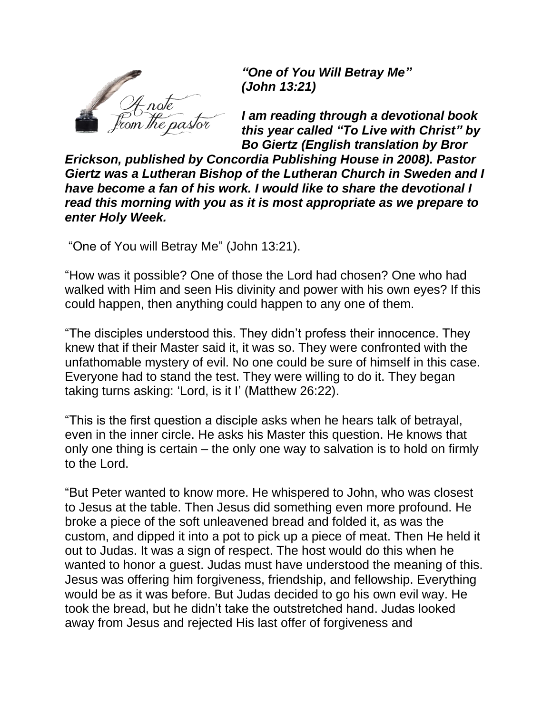![](_page_5_Picture_0.jpeg)

*"One of You Will Betray Me" (John 13:21)*

*I am reading through a devotional book this year called "To Live with Christ" by Bo Giertz (English translation by Bror* 

*Erickson, published by Concordia Publishing House in 2008). Pastor Giertz was a Lutheran Bishop of the Lutheran Church in Sweden and I have become a fan of his work. I would like to share the devotional I read this morning with you as it is most appropriate as we prepare to enter Holy Week.*

"One of You will Betray Me" (John 13:21).

"How was it possible? One of those the Lord had chosen? One who had walked with Him and seen His divinity and power with his own eyes? If this could happen, then anything could happen to any one of them.

"The disciples understood this. They didn't profess their innocence. They knew that if their Master said it, it was so. They were confronted with the unfathomable mystery of evil. No one could be sure of himself in this case. Everyone had to stand the test. They were willing to do it. They began taking turns asking: 'Lord, is it I' (Matthew 26:22).

"This is the first question a disciple asks when he hears talk of betrayal, even in the inner circle. He asks his Master this question. He knows that only one thing is certain – the only one way to salvation is to hold on firmly to the Lord.

"But Peter wanted to know more. He whispered to John, who was closest to Jesus at the table. Then Jesus did something even more profound. He broke a piece of the soft unleavened bread and folded it, as was the custom, and dipped it into a pot to pick up a piece of meat. Then He held it out to Judas. It was a sign of respect. The host would do this when he wanted to honor a guest. Judas must have understood the meaning of this. Jesus was offering him forgiveness, friendship, and fellowship. Everything would be as it was before. But Judas decided to go his own evil way. He took the bread, but he didn't take the outstretched hand. Judas looked away from Jesus and rejected His last offer of forgiveness and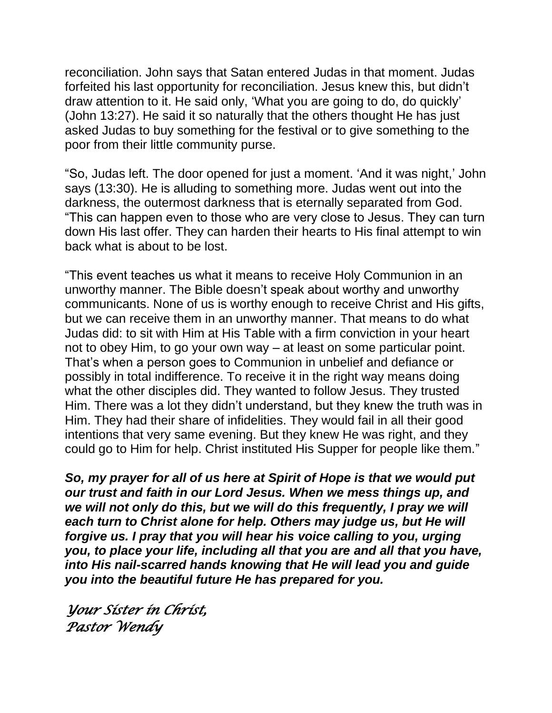reconciliation. John says that Satan entered Judas in that moment. Judas forfeited his last opportunity for reconciliation. Jesus knew this, but didn't draw attention to it. He said only, 'What you are going to do, do quickly' (John 13:27). He said it so naturally that the others thought He has just asked Judas to buy something for the festival or to give something to the poor from their little community purse.

"So, Judas left. The door opened for just a moment. 'And it was night,' John says (13:30). He is alluding to something more. Judas went out into the darkness, the outermost darkness that is eternally separated from God. "This can happen even to those who are very close to Jesus. They can turn down His last offer. They can harden their hearts to His final attempt to win back what is about to be lost.

"This event teaches us what it means to receive Holy Communion in an unworthy manner. The Bible doesn't speak about worthy and unworthy communicants. None of us is worthy enough to receive Christ and His gifts, but we can receive them in an unworthy manner. That means to do what Judas did: to sit with Him at His Table with a firm conviction in your heart not to obey Him, to go your own way – at least on some particular point. That's when a person goes to Communion in unbelief and defiance or possibly in total indifference. To receive it in the right way means doing what the other disciples did. They wanted to follow Jesus. They trusted Him. There was a lot they didn't understand, but they knew the truth was in Him. They had their share of infidelities. They would fail in all their good intentions that very same evening. But they knew He was right, and they could go to Him for help. Christ instituted His Supper for people like them."

*So, my prayer for all of us here at Spirit of Hope is that we would put our trust and faith in our Lord Jesus. When we mess things up, and we will not only do this, but we will do this frequently, I pray we will each turn to Christ alone for help. Others may judge us, but He will forgive us. I pray that you will hear his voice calling to you, urging you, to place your life, including all that you are and all that you have, into His nail-scarred hands knowing that He will lead you and guide you into the beautiful future He has prepared for you.*

*Your Sister in Christ, Pastor Wendy*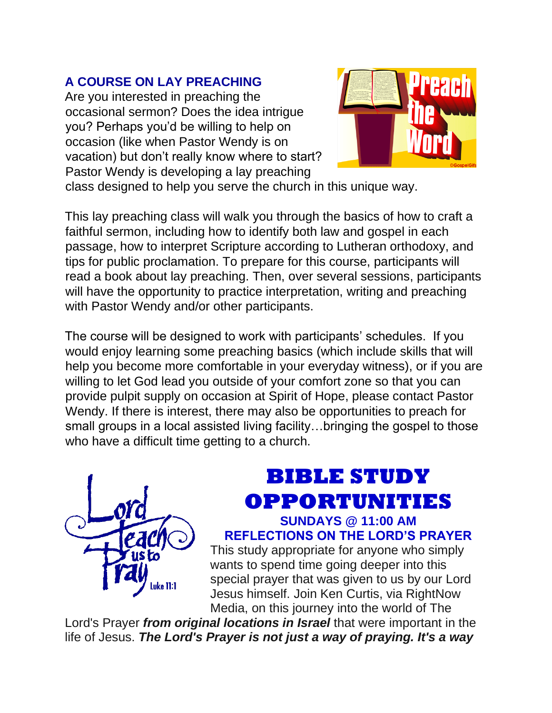# **A COURSE ON LAY PREACHING**

Are you interested in preaching the occasional sermon? Does the idea intrigue you? Perhaps you'd be willing to help on occasion (like when Pastor Wendy is on vacation) but don't really know where to start? Pastor Wendy is developing a lay preaching

![](_page_7_Picture_2.jpeg)

class designed to help you serve the church in this unique way.

This lay preaching class will walk you through the basics of how to craft a faithful sermon, including how to identify both law and gospel in each passage, how to interpret Scripture according to Lutheran orthodoxy, and tips for public proclamation. To prepare for this course, participants will read a book about lay preaching. Then, over several sessions, participants will have the opportunity to practice interpretation, writing and preaching with Pastor Wendy and/or other participants.

The course will be designed to work with participants' schedules. If you would enjoy learning some preaching basics (which include skills that will help you become more comfortable in your everyday witness), or if you are willing to let God lead you outside of your comfort zone so that you can provide pulpit supply on occasion at Spirit of Hope, please contact Pastor Wendy. If there is interest, there may also be opportunities to preach for small groups in a local assisted living facility…bringing the gospel to those who have a difficult time getting to a church.

![](_page_7_Picture_6.jpeg)

# **BIBLE STUDY OPPORTUNITIES SUNDAYS @ 11:00 AM REFLECTIONS ON THE LORD'S PRAYER**

This study appropriate for anyone who simply wants to spend time going deeper into this special prayer that was given to us by our Lord Jesus himself. Join Ken Curtis, via RightNow Media, on this journey into the world of The

Lord's Prayer *from original locations in Israel* that were important in the life of Jesus. *The Lord's Prayer is not just a way of praying. It's a way*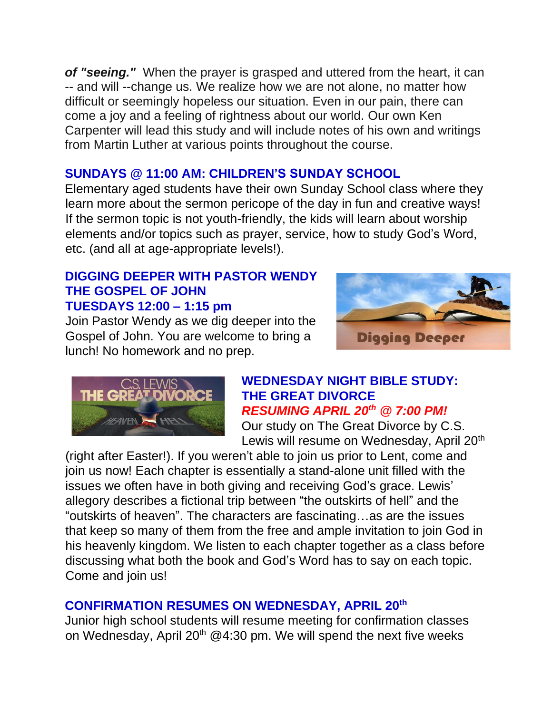*of "seeing."* When the prayer is grasped and uttered from the heart, it can -- and will --change us. We realize how we are not alone, no matter how difficult or seemingly hopeless our situation. Even in our pain, there can come a joy and a feeling of rightness about our world. Our own Ken Carpenter will lead this study and will include notes of his own and writings from Martin Luther at various points throughout the course.

## **SUNDAYS @ 11:00 AM: CHILDREN'S SUNDAY SCHOOL**

Elementary aged students have their own Sunday School class where they learn more about the sermon pericope of the day in fun and creative ways! If the sermon topic is not youth-friendly, the kids will learn about worship elements and/or topics such as prayer, service, how to study God's Word, etc. (and all at age-appropriate levels!).

#### **DIGGING DEEPER WITH PASTOR WENDY THE GOSPEL OF JOHN TUESDAYS 12:00 – 1:15 pm**

Join Pastor Wendy as we dig deeper into the Gospel of John. You are welcome to bring a lunch! No homework and no prep.

![](_page_8_Picture_5.jpeg)

![](_page_8_Picture_6.jpeg)

## **WEDNESDAY NIGHT BIBLE STUDY: THE GREAT DIVORCE** *RESUMING APRIL 20th @ 7:00 PM!*

Our study on The Great Divorce by C.S. Lewis will resume on Wednesday, April 20<sup>th</sup>

(right after Easter!). If you weren't able to join us prior to Lent, come and join us now! Each chapter is essentially a stand-alone unit filled with the issues we often have in both giving and receiving God's grace. Lewis' allegory describes a fictional trip between "the outskirts of hell" and the "outskirts of heaven". The characters are fascinating…as are the issues that keep so many of them from the free and ample invitation to join God in his heavenly kingdom. We listen to each chapter together as a class before discussing what both the book and God's Word has to say on each topic. Come and join us!

# **CONFIRMATION RESUMES ON WEDNESDAY, APRIL 20th**

Junior high school students will resume meeting for confirmation classes on Wednesday, April 20<sup>th</sup> @4:30 pm. We will spend the next five weeks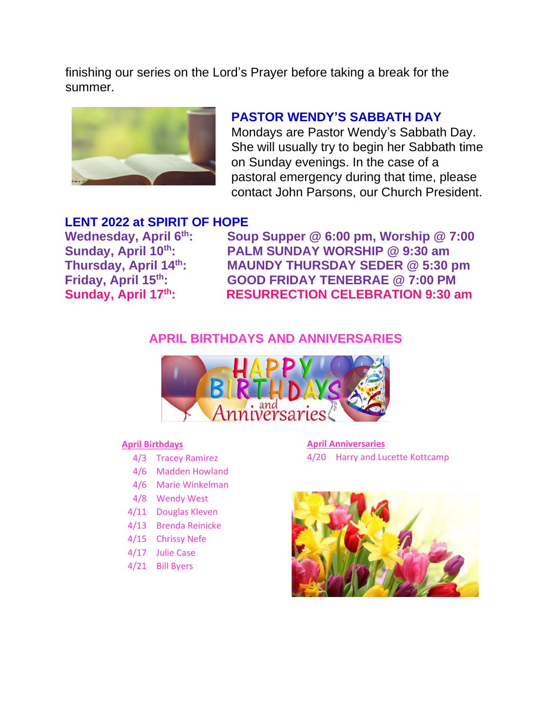finishing our series on the Lord's Prayer before taking a break for the summer.

![](_page_9_Picture_1.jpeg)

#### **PASTOR WENDY'S SABBATH DAY**

Mondays are Pastor Wendy's Sabbath Day. She will usually try to begin her Sabbath time on Sunday evenings. In the case of a pastoral emergency during that time, please contact John Parsons, our Church President.

#### **LENT 2022 at SPIRIT OF HOPE**

**Wednesday, April 6th: Soup Supper @ 6:00 pm, Worship @ 7:00 Sunday, April 10th: PALM SUNDAY WORSHIP @ 9:30 am Thursday, April 14th: MAUNDY THURSDAY SEDER @ 5:30 pm Friday, April 15th: GOOD FRIDAY TENEBRAE @ 7:00 PM Sunday, April 17th: RESURRECTION CELEBRATION 9:30 am**

#### **APRIL BIRTHDAYS AND ANNIVERSARIES**

![](_page_9_Picture_8.jpeg)

#### **April Birthdays**

- 4/3 Tracey Ramirez
- 4/6 Madden Howland
- 4/6 Marie Winkelman
- 4/8 Wendy West
- 4/11 Douglas Kleven
- 4/13 Brenda Reinicke
- 4/15 Chrissy Nefe
- 4/17 Julie Case
- 4/21 Bill Byers

**April Anniversaries** 4/20 Harry and Lucette Kottcamp

![](_page_9_Picture_20.jpeg)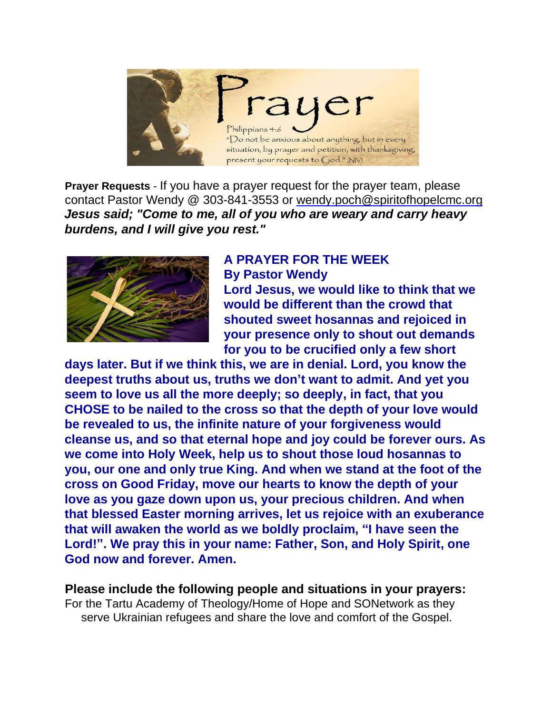![](_page_10_Picture_0.jpeg)

**Prayer Requests** - If you have a prayer request for the prayer team, please contact Pastor Wendy @ 303-841-3553 or wendy.poch@spiritofhopelcmc.org *Jesus said; "Come to me, all of you who are weary and carry heavy burdens, and I will give you rest."*

![](_page_10_Picture_2.jpeg)

### **A PRAYER FOR THE WEEK By Pastor Wendy**

**Lord Jesus, we would like to think that we would be different than the crowd that shouted sweet hosannas and rejoiced in your presence only to shout out demands for you to be crucified only a few short** 

**days later. But if we think this, we are in denial. Lord, you know the deepest truths about us, truths we don't want to admit. And yet you seem to love us all the more deeply; so deeply, in fact, that you CHOSE to be nailed to the cross so that the depth of your love would be revealed to us, the infinite nature of your forgiveness would cleanse us, and so that eternal hope and joy could be forever ours. As we come into Holy Week, help us to shout those loud hosannas to you, our one and only true King. And when we stand at the foot of the cross on Good Friday, move our hearts to know the depth of your love as you gaze down upon us, your precious children. And when that blessed Easter morning arrives, let us rejoice with an exuberance that will awaken the world as we boldly proclaim, "I have seen the Lord!". We pray this in your name: Father, Son, and Holy Spirit, one God now and forever. Amen.**

**Please include the following people and situations in your prayers:**  For the Tartu Academy of Theology/Home of Hope and SONetwork as they serve Ukrainian refugees and share the love and comfort of the Gospel.